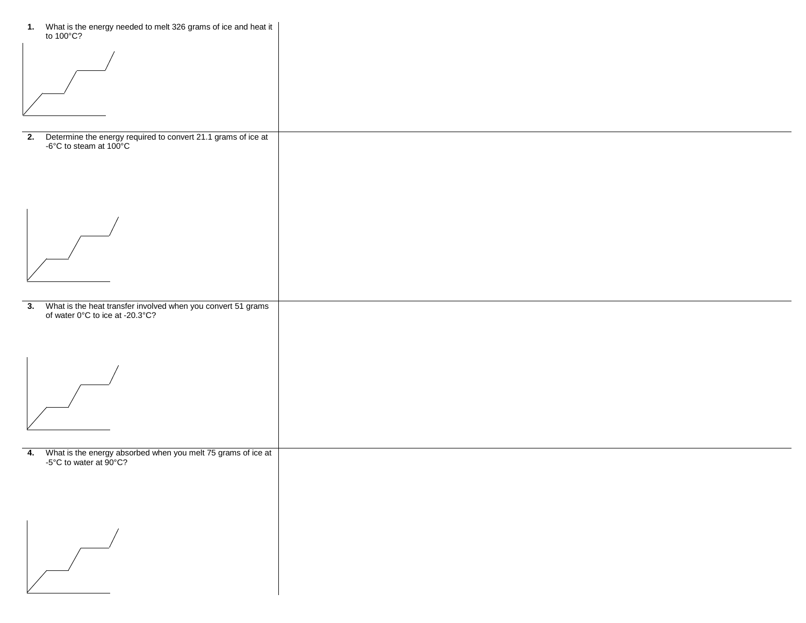| 1. What is the energy needed to melt 326 grams of ice and heat it<br>to 100°C?                            |  |
|-----------------------------------------------------------------------------------------------------------|--|
|                                                                                                           |  |
| Determine the energy required to convert 21.1 grams of ice at -6°C to steam at 100°C<br>2.                |  |
|                                                                                                           |  |
|                                                                                                           |  |
| 3. What is the heat transfer involved when you convert 51 grams of water $0^{\circ}$ C to ice at -20.3°C? |  |
|                                                                                                           |  |
|                                                                                                           |  |
| 4. What is the energy absorbed when you melt 75 grams of ice at<br>-5°C to water at 90°C?                 |  |
|                                                                                                           |  |
| $\overline{\phantom{a}}$                                                                                  |  |